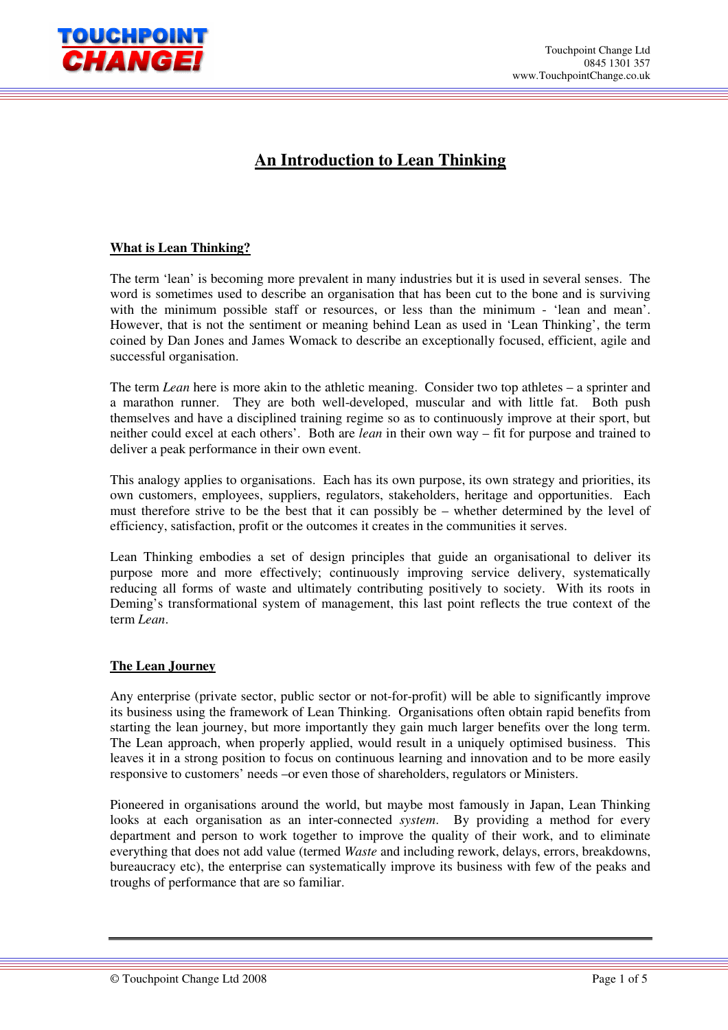

# **An Introduction to Lean Thinking**

## **What is Lean Thinking?**

The term 'lean' is becoming more prevalent in many industries but it is used in several senses. The word is sometimes used to describe an organisation that has been cut to the bone and is surviving with the minimum possible staff or resources, or less than the minimum - 'lean and mean'. However, that is not the sentiment or meaning behind Lean as used in 'Lean Thinking', the term coined by Dan Jones and James Womack to describe an exceptionally focused, efficient, agile and successful organisation.

The term *Lean* here is more akin to the athletic meaning. Consider two top athletes – a sprinter and a marathon runner. They are both well-developed, muscular and with little fat. Both push themselves and have a disciplined training regime so as to continuously improve at their sport, but neither could excel at each others'. Both are *lean* in their own way – fit for purpose and trained to deliver a peak performance in their own event.

This analogy applies to organisations. Each has its own purpose, its own strategy and priorities, its own customers, employees, suppliers, regulators, stakeholders, heritage and opportunities. Each must therefore strive to be the best that it can possibly be – whether determined by the level of efficiency, satisfaction, profit or the outcomes it creates in the communities it serves.

Lean Thinking embodies a set of design principles that guide an organisational to deliver its purpose more and more effectively; continuously improving service delivery, systematically reducing all forms of waste and ultimately contributing positively to society. With its roots in Deming's transformational system of management, this last point reflects the true context of the term *Lean*.

### **The Lean Journey**

Any enterprise (private sector, public sector or not-for-profit) will be able to significantly improve its business using the framework of Lean Thinking. Organisations often obtain rapid benefits from starting the lean journey, but more importantly they gain much larger benefits over the long term. The Lean approach, when properly applied, would result in a uniquely optimised business. This leaves it in a strong position to focus on continuous learning and innovation and to be more easily responsive to customers' needs –or even those of shareholders, regulators or Ministers.

Pioneered in organisations around the world, but maybe most famously in Japan, Lean Thinking looks at each organisation as an inter-connected *system*. By providing a method for every department and person to work together to improve the quality of their work, and to eliminate everything that does not add value (termed *Waste* and including rework, delays, errors, breakdowns, bureaucracy etc), the enterprise can systematically improve its business with few of the peaks and troughs of performance that are so familiar.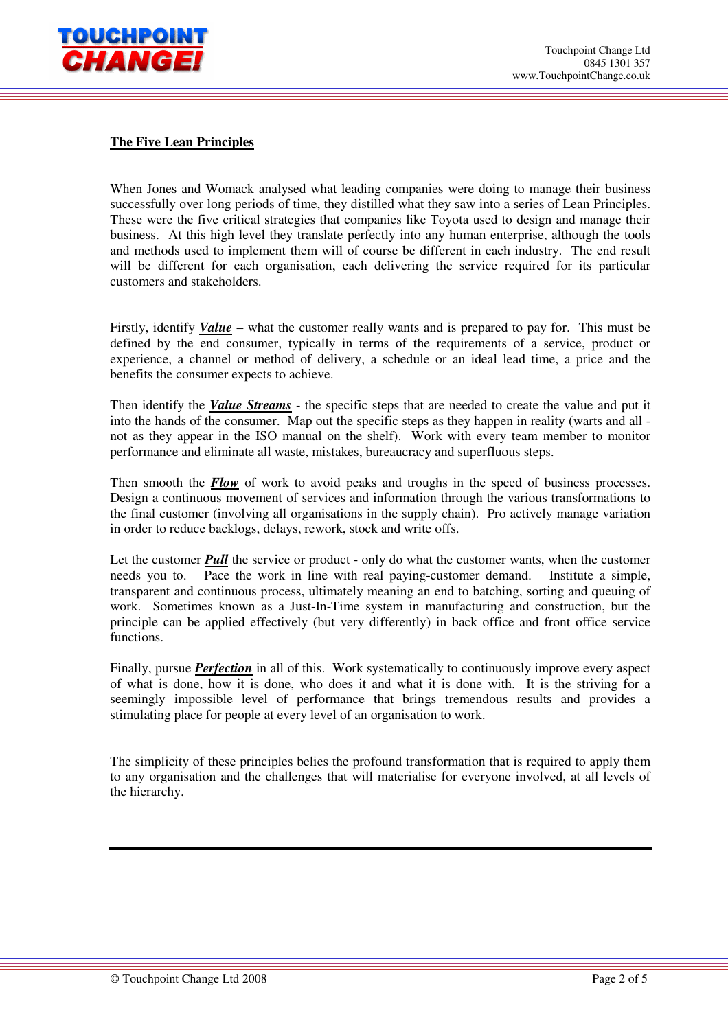

## **The Five Lean Principles**

When Jones and Womack analysed what leading companies were doing to manage their business successfully over long periods of time, they distilled what they saw into a series of Lean Principles. These were the five critical strategies that companies like Toyota used to design and manage their business. At this high level they translate perfectly into any human enterprise, although the tools and methods used to implement them will of course be different in each industry. The end result will be different for each organisation, each delivering the service required for its particular customers and stakeholders.

Firstly, identify *Value* – what the customer really wants and is prepared to pay for. This must be defined by the end consumer, typically in terms of the requirements of a service, product or experience, a channel or method of delivery, a schedule or an ideal lead time, a price and the benefits the consumer expects to achieve.

Then identify the *Value Streams* - the specific steps that are needed to create the value and put it into the hands of the consumer. Map out the specific steps as they happen in reality (warts and all not as they appear in the ISO manual on the shelf). Work with every team member to monitor performance and eliminate all waste, mistakes, bureaucracy and superfluous steps.

Then smooth the **Flow** of work to avoid peaks and troughs in the speed of business processes. Design a continuous movement of services and information through the various transformations to the final customer (involving all organisations in the supply chain). Pro actively manage variation in order to reduce backlogs, delays, rework, stock and write offs.

Let the customer *Pull* the service or product - only do what the customer wants, when the customer needs you to. Pace the work in line with real paying-customer demand. Institute a simple, transparent and continuous process, ultimately meaning an end to batching, sorting and queuing of work. Sometimes known as a Just-In-Time system in manufacturing and construction, but the principle can be applied effectively (but very differently) in back office and front office service functions.

Finally, pursue *Perfection* in all of this. Work systematically to continuously improve every aspect of what is done, how it is done, who does it and what it is done with. It is the striving for a seemingly impossible level of performance that brings tremendous results and provides a stimulating place for people at every level of an organisation to work.

The simplicity of these principles belies the profound transformation that is required to apply them to any organisation and the challenges that will materialise for everyone involved, at all levels of the hierarchy.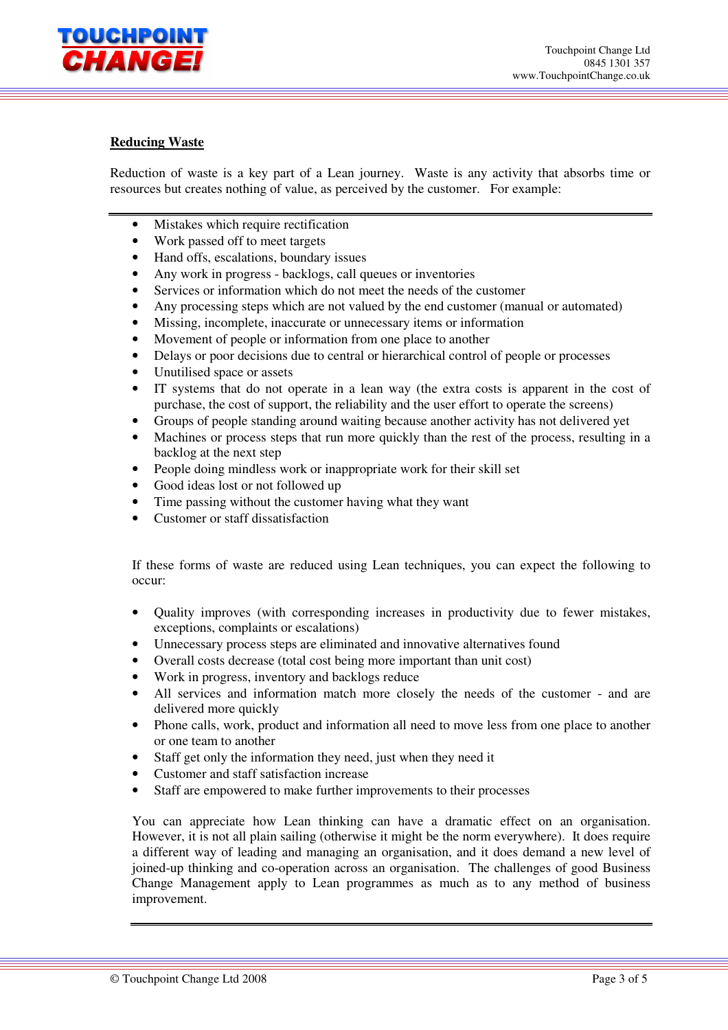

### **Reducing Waste**

Reduction of waste is a key part of a Lean journey. Waste is any activity that absorbs time or resources but creates nothing of value, as perceived by the customer. For example:

- Mistakes which require rectification
- Work passed off to meet targets
- Hand offs, escalations, boundary issues
- Any work in progress backlogs, call queues or inventories
- Services or information which do not meet the needs of the customer
- Any processing steps which are not valued by the end customer (manual or automated)
- Missing, incomplete, inaccurate or unnecessary items or information
- Movement of people or information from one place to another
- Delays or poor decisions due to central or hierarchical control of people or processes
- Unutilised space or assets
- IT systems that do not operate in a lean way (the extra costs is apparent in the cost of purchase, the cost of support, the reliability and the user effort to operate the screens)
- Groups of people standing around waiting because another activity has not delivered yet
- Machines or process steps that run more quickly than the rest of the process, resulting in a backlog at the next step
- People doing mindless work or inappropriate work for their skill set
- Good ideas lost or not followed up
- Time passing without the customer having what they want
- Customer or staff dissatisfaction

If these forms of waste are reduced using Lean techniques, you can expect the following to occur:

- Quality improves (with corresponding increases in productivity due to fewer mistakes, exceptions, complaints or escalations)
- Unnecessary process steps are eliminated and innovative alternatives found
- Overall costs decrease (total cost being more important than unit cost)
- Work in progress, inventory and backlogs reduce
- All services and information match more closely the needs of the customer and are delivered more quickly
- Phone calls, work, product and information all need to move less from one place to another or one team to another
- Staff get only the information they need, just when they need it
- Customer and staff satisfaction increase
- Staff are empowered to make further improvements to their processes

You can appreciate how Lean thinking can have a dramatic effect on an organisation. However, it is not all plain sailing (otherwise it might be the norm everywhere). It does require a different way of leading and managing an organisation, and it does demand a new level of joined-up thinking and co-operation across an organisation. The challenges of good Business Change Management apply to Lean programmes as much as to any method of business improvement.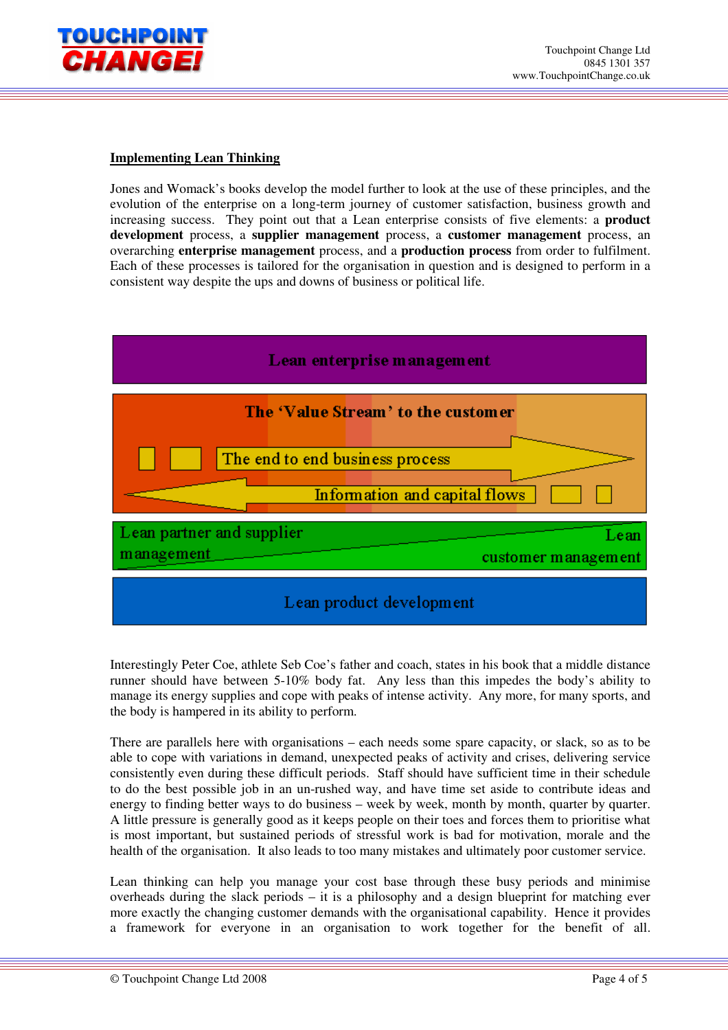

## **Implementing Lean Thinking**

Jones and Womack's books develop the model further to look at the use of these principles, and the evolution of the enterprise on a long-term journey of customer satisfaction, business growth and increasing success. They point out that a Lean enterprise consists of five elements: a **product development** process, a **supplier management** process, a **customer management** process, an overarching **enterprise management** process, and a **production process** from order to fulfilment. Each of these processes is tailored for the organisation in question and is designed to perform in a consistent way despite the ups and downs of business or political life.



Interestingly Peter Coe, athlete Seb Coe's father and coach, states in his book that a middle distance runner should have between 5-10% body fat. Any less than this impedes the body's ability to manage its energy supplies and cope with peaks of intense activity. Any more, for many sports, and the body is hampered in its ability to perform.

There are parallels here with organisations – each needs some spare capacity, or slack, so as to be able to cope with variations in demand, unexpected peaks of activity and crises, delivering service consistently even during these difficult periods. Staff should have sufficient time in their schedule to do the best possible job in an un-rushed way, and have time set aside to contribute ideas and energy to finding better ways to do business – week by week, month by month, quarter by quarter. A little pressure is generally good as it keeps people on their toes and forces them to prioritise what is most important, but sustained periods of stressful work is bad for motivation, morale and the health of the organisation. It also leads to too many mistakes and ultimately poor customer service.

Lean thinking can help you manage your cost base through these busy periods and minimise overheads during the slack periods – it is a philosophy and a design blueprint for matching ever more exactly the changing customer demands with the organisational capability. Hence it provides a framework for everyone in an organisation to work together for the benefit of all.